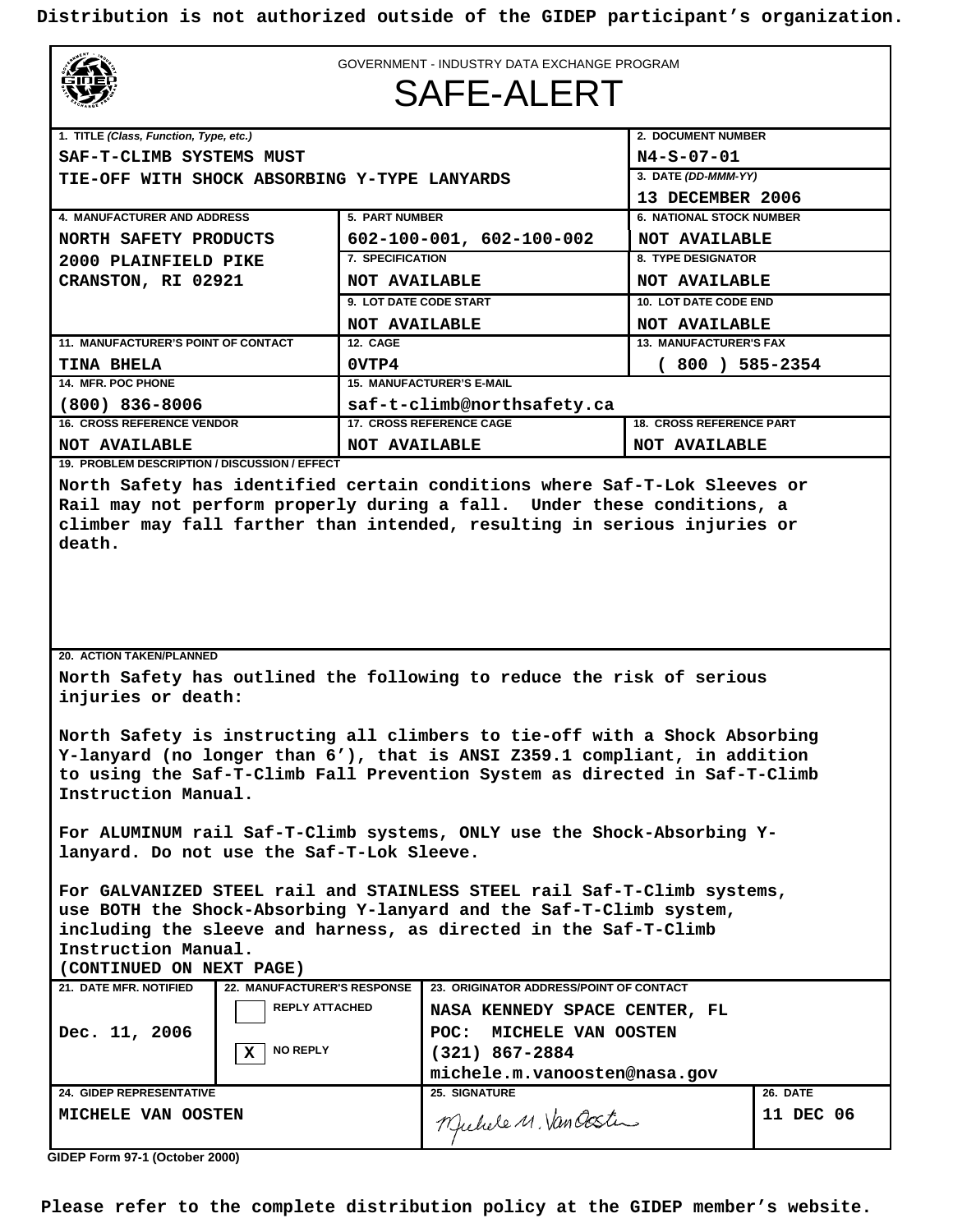**Distribution is not authorized outside of the GIDEP participant's organization.**



GOVERNMENT - INDUSTRY DATA EXCHANGE PROGRAM

#### SAFE-ALERT

| 1. TITLE (Class, Function, Type, etc.)                                    |                                    | 2. DOCUMENT NUMBER              |  |  |
|---------------------------------------------------------------------------|------------------------------------|---------------------------------|--|--|
| SAF-T-CLIMB SYSTEMS MUST                                                  |                                    | $N4-S-07-01$                    |  |  |
| TIE-OFF WITH SHOCK ABSORBING Y-TYPE LANYARDS                              |                                    | 3. DATE (DD-MMM-YY)             |  |  |
|                                                                           |                                    | 13 DECEMBER 2006                |  |  |
| <b>4. MANUFACTURER AND ADDRESS</b>                                        | <b>5. PART NUMBER</b>              | <b>6. NATIONAL STOCK NUMBER</b> |  |  |
| NORTH SAFETY PRODUCTS                                                     | $602 - 100 - 001, 602 - 100 - 002$ | <b>NOT AVAILABLE</b>            |  |  |
| 2000 PLAINFIELD PIKE                                                      | 7. SPECIFICATION                   | <b>8. TYPE DESIGNATOR</b>       |  |  |
| CRANSTON, RI 02921                                                        | <b>NOT AVAILABLE</b>               | <b>NOT AVAILABLE</b>            |  |  |
|                                                                           | 9. LOT DATE CODE START             | <b>10. LOT DATE CODE END</b>    |  |  |
|                                                                           | <b>NOT AVAILABLE</b>               | <b>NOT AVAILABLE</b>            |  |  |
| <b>11. MANUFACTURER'S POINT OF CONTACT</b>                                | 12. CAGE                           | <b>13. MANUFACTURER'S FAX</b>   |  |  |
| TINA BHELA                                                                | 0VTP4                              | $(800) 585 - 2354$              |  |  |
| 14. MFR. POC PHONE                                                        | <b>15. MANUFACTURER'S E-MAIL</b>   |                                 |  |  |
| $(800)$ 836-8006                                                          | saf-t-climb@northsafety.ca         |                                 |  |  |
| <b>16. CROSS REFERENCE VENDOR</b>                                         | <b>17. CROSS REFERENCE CAGE</b>    | <b>18. CROSS REFERENCE PART</b> |  |  |
| <b>NOT AVAILABLE</b>                                                      | <b>NOT AVAILABLE</b>               | <b>NOT AVAILABLE</b>            |  |  |
| 19. PROBLEM DESCRIPTION / DISCUSSION / EFFECT                             |                                    |                                 |  |  |
| North Safety has identified certain conditions where Saf-T-Lok Sleeves or |                                    |                                 |  |  |
| Rail may not perform properly during a fall. Under these conditions, a    |                                    |                                 |  |  |
| climber may fall farther than intended, resulting in serious injuries or  |                                    |                                 |  |  |
| death.                                                                    |                                    |                                 |  |  |
|                                                                           |                                    |                                 |  |  |
|                                                                           |                                    |                                 |  |  |
|                                                                           |                                    |                                 |  |  |
|                                                                           |                                    |                                 |  |  |
| <b>20. ACTION TAKEN/PLANNED</b>                                           |                                    |                                 |  |  |
|                                                                           |                                    |                                 |  |  |
| North Safety has outlined the following to reduce the risk of serious     |                                    |                                 |  |  |

**injuries or death:** 

**North Safety is instructing all climbers to tie-off with a Shock Absorbing Y-lanyard (no longer than 6'), that is ANSI Z359.1 compliant, in addition to using the Saf-T-Climb Fall Prevention System as directed in Saf-T-Climb Instruction Manual.** 

**For ALUMINUM rail Saf-T-Climb systems, ONLY use the Shock-Absorbing Ylanyard. Do not use the Saf-T-Lok Sleeve.** 

**For GALVANIZED STEEL rail and STAINLESS STEEL rail Saf-T-Climb systems, use BOTH the Shock-Absorbing Y-lanyard and the Saf-T-Climb system, including the sleeve and harness, as directed in the Saf-T-Climb Instruction Manual.** 

**(CONTINUED ON NEXT PAGE)**

| 21. DATE MFR. NOTIFIED          | <b>22. MANUFACTURER'S RESPONSE</b><br>23. ORIGINATOR ADDRESS/POINT OF CONTACT |                               |                 |
|---------------------------------|-------------------------------------------------------------------------------|-------------------------------|-----------------|
|                                 | <b>REPLY ATTACHED</b>                                                         | NASA KENNEDY SPACE CENTER, FL |                 |
| Dec. 11, 2006                   |                                                                               | MICHELE VAN OOSTEN<br>POC:    |                 |
|                                 | <b>NO REPLY</b><br>X                                                          | $(321)$ 867-2884              |                 |
|                                 |                                                                               | michele.m.vanoosten@nasa.gov  |                 |
| <b>24. GIDEP REPRESENTATIVE</b> |                                                                               | <b>25. SIGNATURE</b>          | <b>26. DATE</b> |
| MICHELE VAN OOSTEN              |                                                                               | Muhele M. Van Ocster          | DEC 06<br>11    |
|                                 |                                                                               |                               |                 |

 **GIDEP Form 97-1 (October 2000)**

**Please refer to the complete distribution policy at the GIDEP member's website.**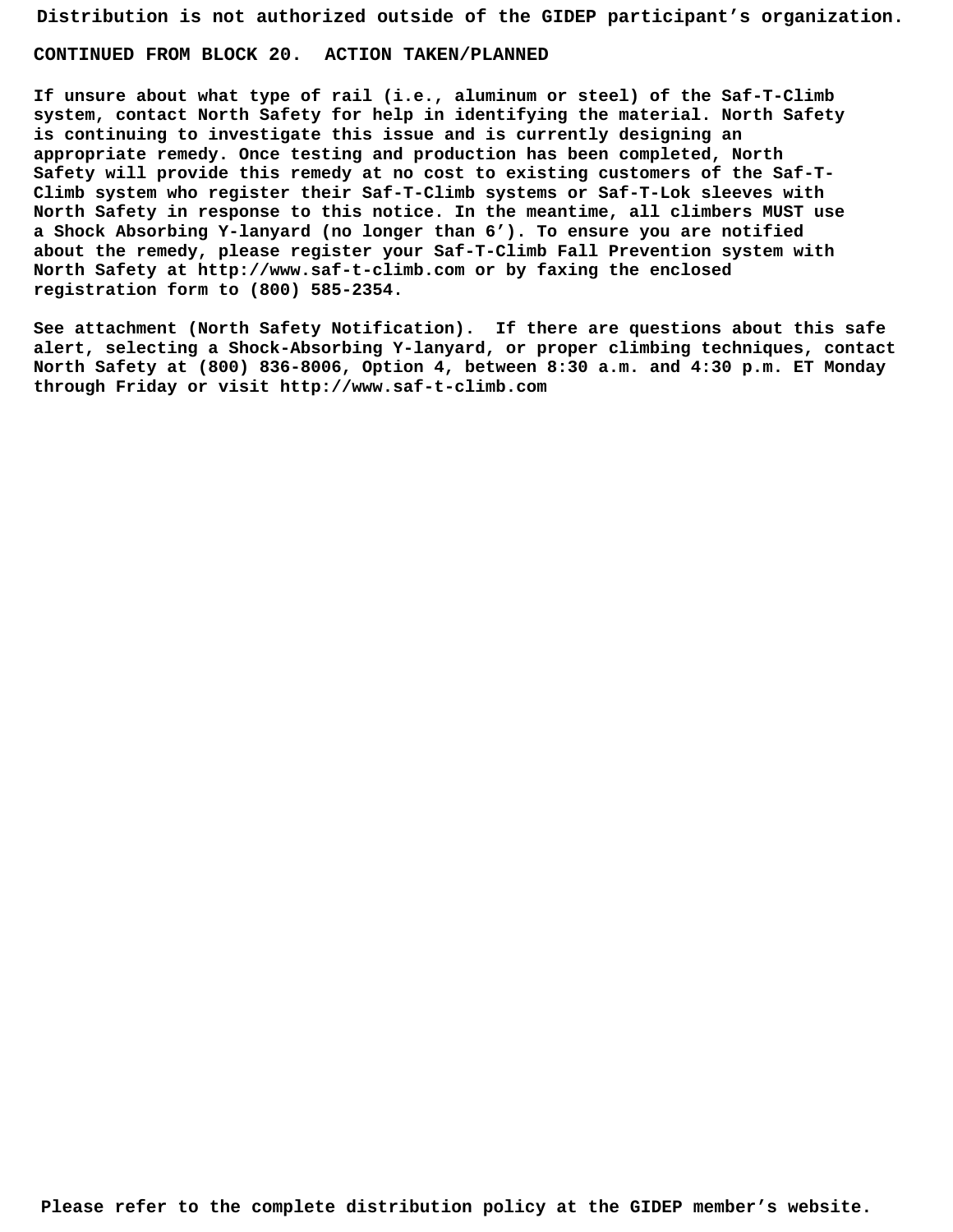**Distribution is not authorized outside of the GIDEP participant's organization. CONTINUED FROM BLOCK 20. ACTION TAKEN/PLANNED** 

**If unsure about what type of rail (i.e., aluminum or steel) of the Saf-T-Climb system, contact North Safety for help in identifying the material. North Safety is continuing to investigate this issue and is currently designing an appropriate remedy. Once testing and production has been completed, North Safety will provide this remedy at no cost to existing customers of the Saf-T-Climb system who register their Saf-T-Climb systems or Saf-T-Lok sleeves with North Safety in response to this notice. In the meantime, all climbers MUST use a Shock Absorbing Y-lanyard (no longer than 6'). To ensure you are notified about the remedy, please register your Saf-T-Climb Fall Prevention system with North Safety at http://www.saf-t-climb.com or by faxing the enclosed registration form to (800) 585-2354.** 

**See attachment (North Safety Notification). If there are questions about this safe alert, selecting a Shock-Absorbing Y-lanyard, or proper climbing techniques, contact North Safety at (800) 836-8006, Option 4, between 8:30 a.m. and 4:30 p.m. ET Monday through Friday or visit http://www.saf-t-climb.com**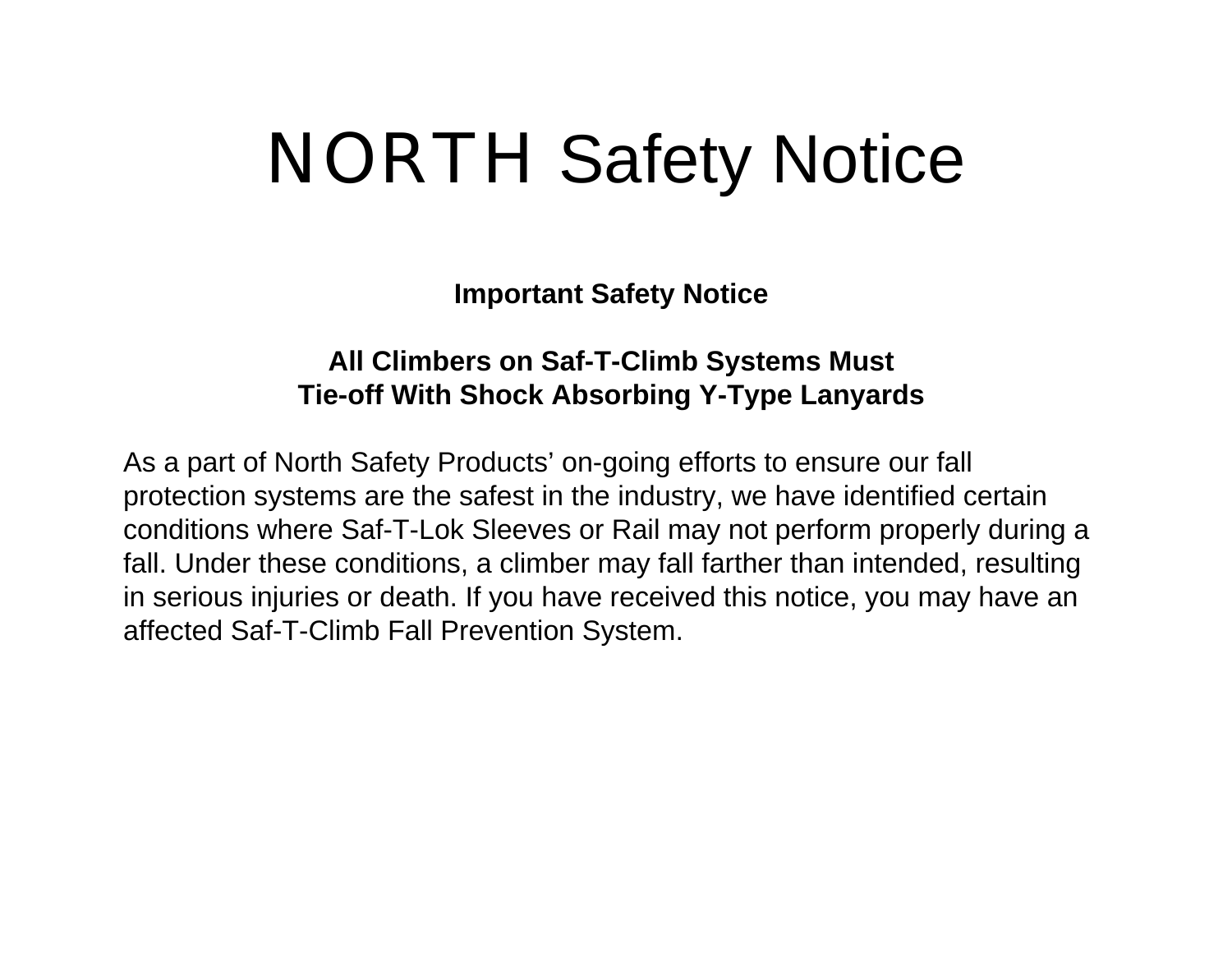# NORTH Safety Notice

**Important Safety Notice**

#### **All Climbers on Saf-T-Climb Systems Must Tie-off With Shock Absorbing Y-Type Lanyards**

As a part of North Safety Products' on-going efforts to ensure our fall protection systems are the safest in the industry, we have identified certain conditions where Saf-T-Lok Sleeves or Rail may not perform properly during a fall. Under these conditions, a climber may fall farther than intended, resulting in serious injuries or death. If you have received this notice, you may have an affected Saf-T-Climb Fall Prevention System.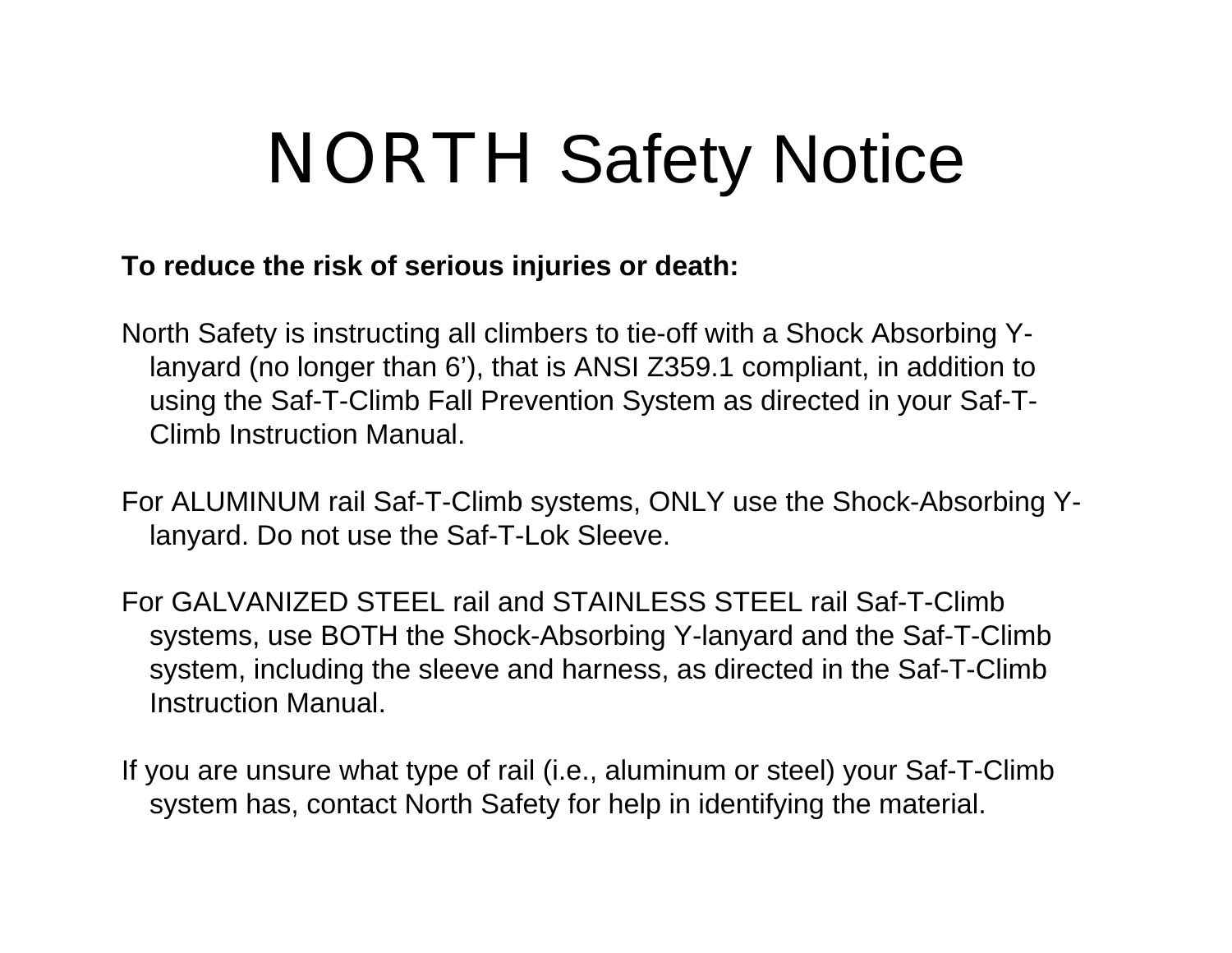# NORTH Safety Notice

#### **To reduce the risk of serious injuries or death:**

North Safety is instructing all climbers to tie-off with a Shock Absorbing Ylanyard (no longer than 6'), that is ANSI Z359.1 compliant, in addition to using the Saf-T-Climb Fall Prevention System as directed in your Saf-T-Climb Instruction Manual.

For ALUMINUM rail Saf-T-Climb systems, ONLY use the Shock-Absorbing Ylanyard. Do not use the Saf-T-Lok Sleeve.

For GALVANIZED STEEL rail and STAINLESS STEEL rail Saf-T-Climb systems, use BOTH the Shock-Absorbing Y-lanyard and the Saf-T-Climb system, including the sleeve and harness, as directed in the Saf-T-Climb Instruction Manual.

If you are unsure what type of rail (i.e., aluminum or steel) your Saf-T-Climb system has, contact North Safety for help in identifying the material.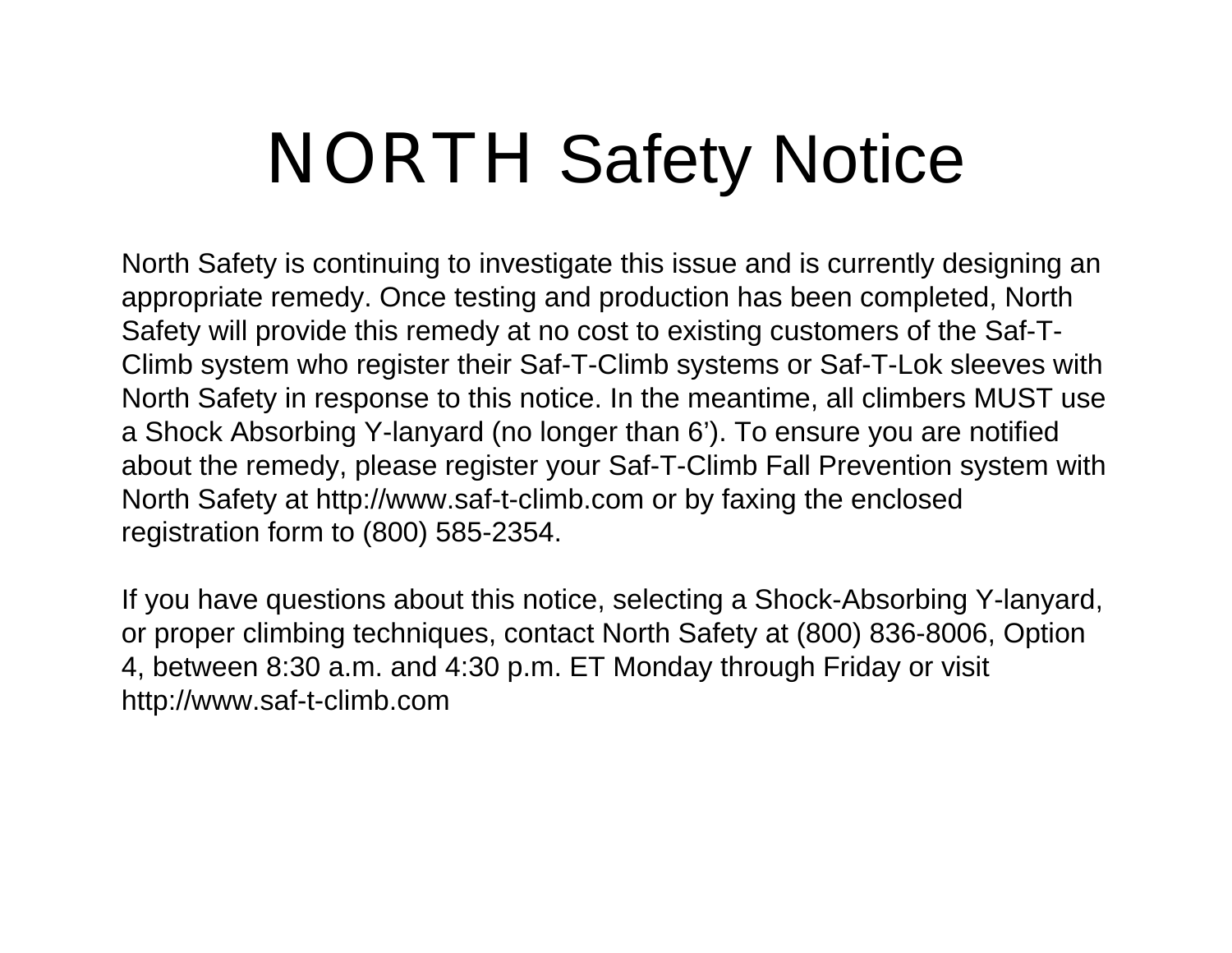# NORTH Safety Notice

North Safety is continuing to investigate this issue and is currently designing an appropriate remedy. Once testing and production has been completed, North Safety will provide this remedy at no cost to existing customers of the Saf-T-Climb system who register their Saf-T-Climb systems or Saf-T-Lok sleeves with North Safety in response to this notice. In the meantime, all climbers MUST use a Shock Absorbing Y-lanyard (no longer than 6'). To ensure you are notified about the remedy, please register your Saf-T-Climb Fall Prevention system with North Safety at http://www.saf-t-climb.com or by faxing the enclosed registration form to (800) 585-2354.

If you have questions about this notice, selecting a Shock-Absorbing Y-lanyard, or proper climbing techniques, contact North Safety at (800) 836-8006, Option 4, between 8:30 a.m. and 4:30 p.m. ET Monday through Friday or visit http://www.saf-t-climb.com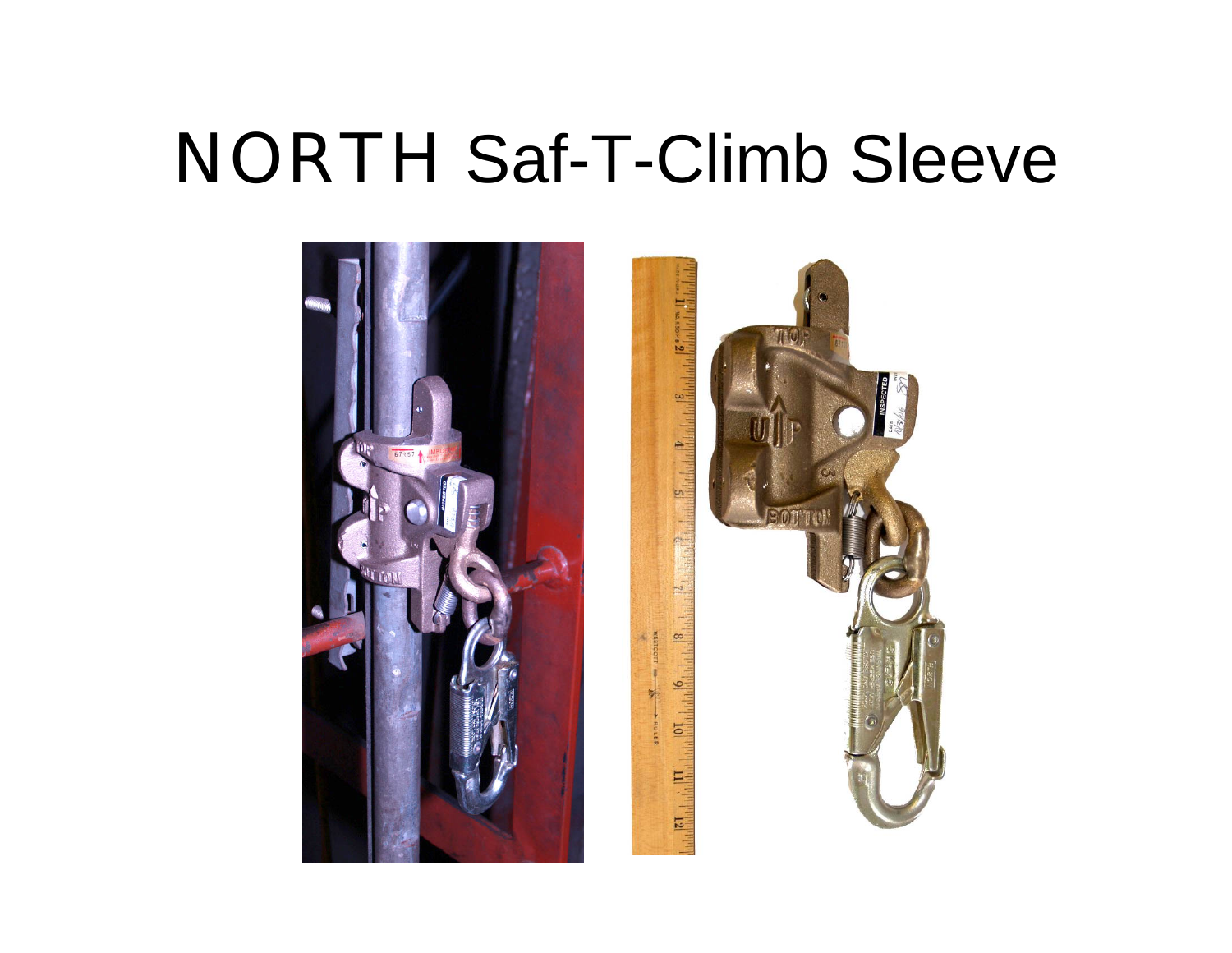## NORTH Saf-T-Climb Sleeve



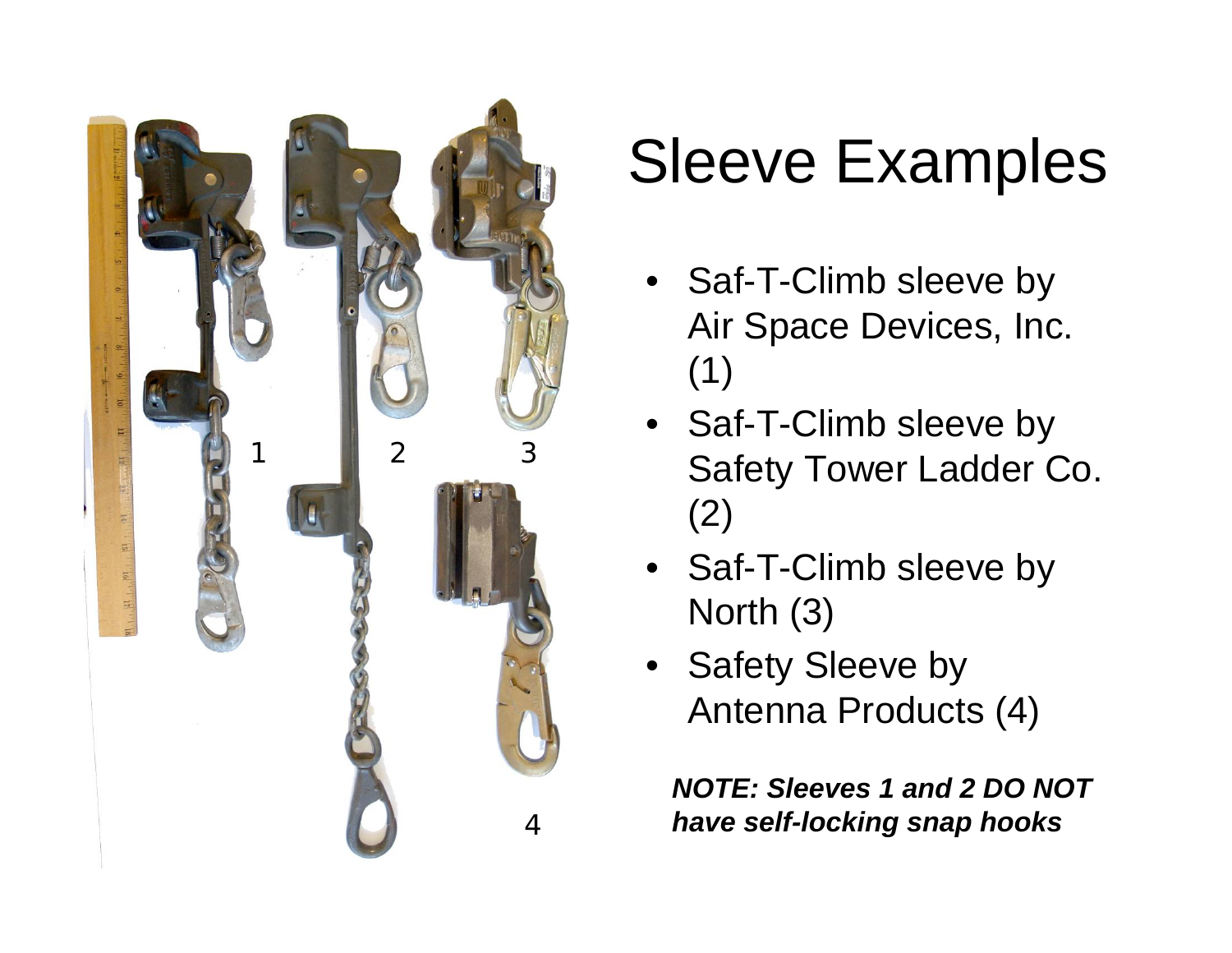

## Sleeve Examples

- Saf-T-Climb sleeve by Air Space Devices, Inc. (1)
- Saf-T-Climb sleeve by Safety Tower Ladder Co. (2)
- Saf-T-Climb sleeve by North (3)
- Safety Sleeve by Antenna Products (4)

*NOTE: Sleeves 1 and 2 DO NOT have self-locking snap hooks*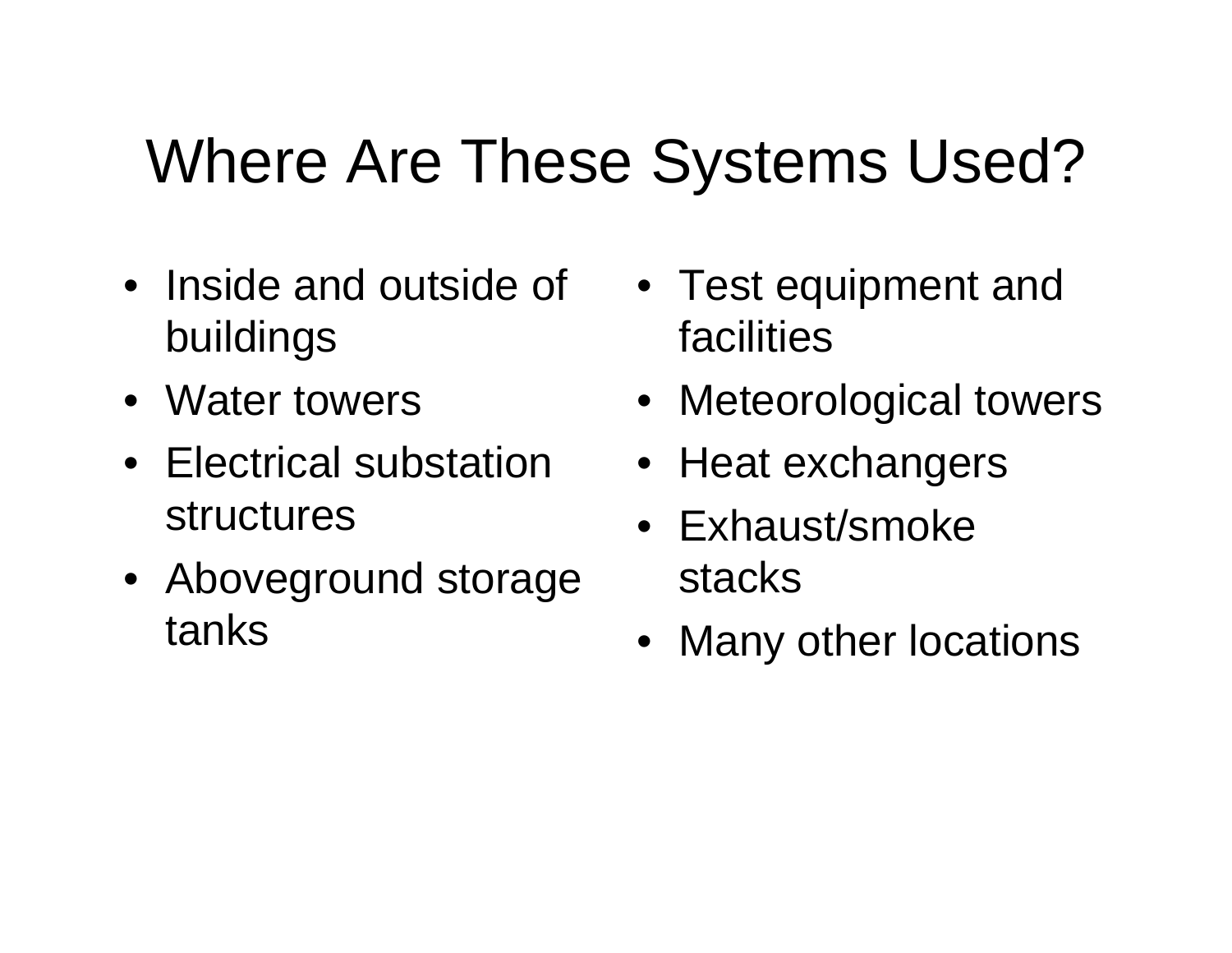## Where Are These Systems Used?

- Inside and outside of buildings
- Water towers
- Electrical substation structures
- Aboveground storage tanks
- Test equipment and facilities
- Meteorological towers
- Heat exchangers
- Exhaust/smoke stacks
- Many other locations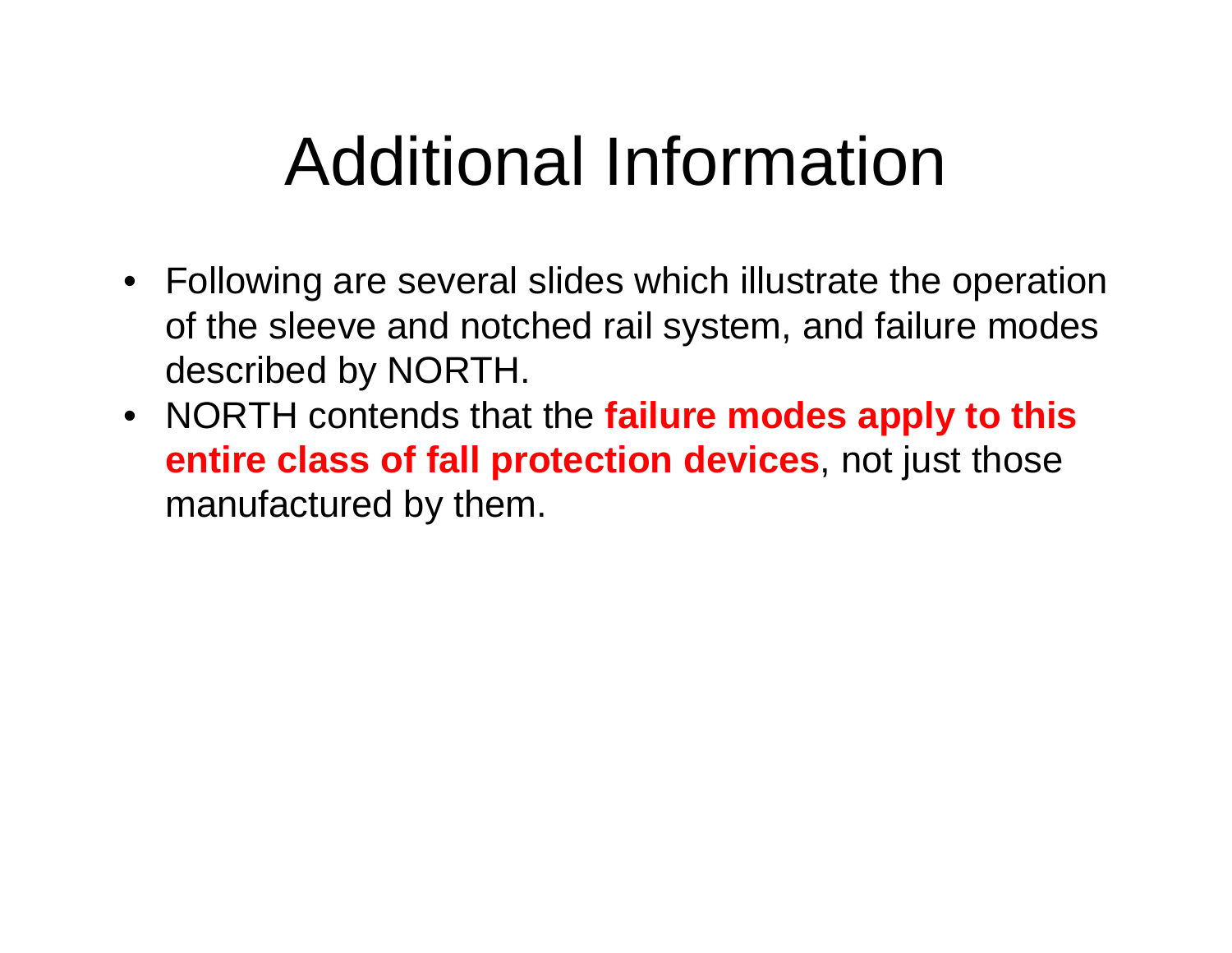# Additional Information

- Following are several slides which illustrate the operation of the sleeve and notched rail system, and failure modes described by NORTH.
- NORTH contends that the **failure modes apply to this entire class of fall protection devices**, not just those manufactured by them.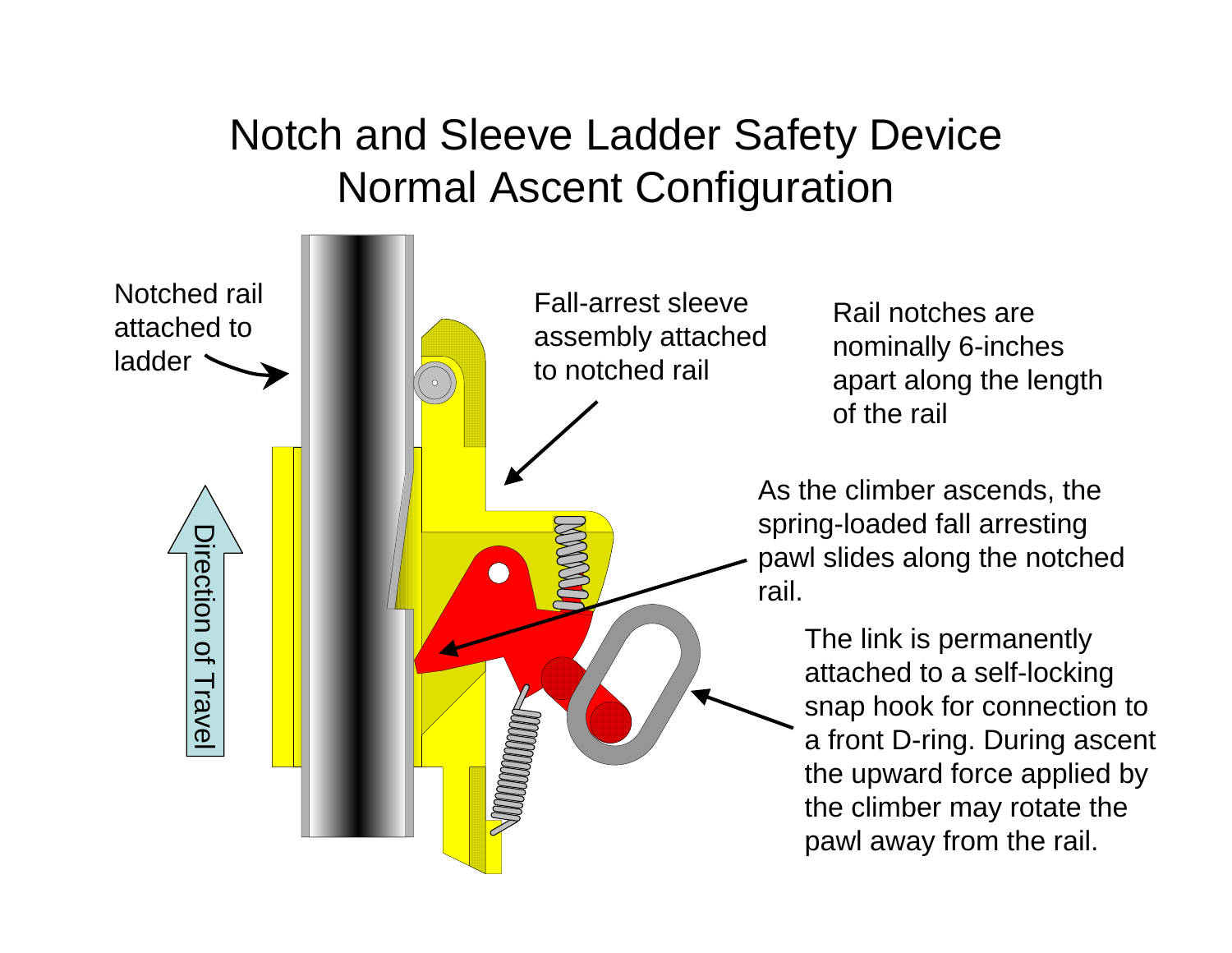### Notch and Sleeve Ladder Safety Device Normal Ascent Configuration

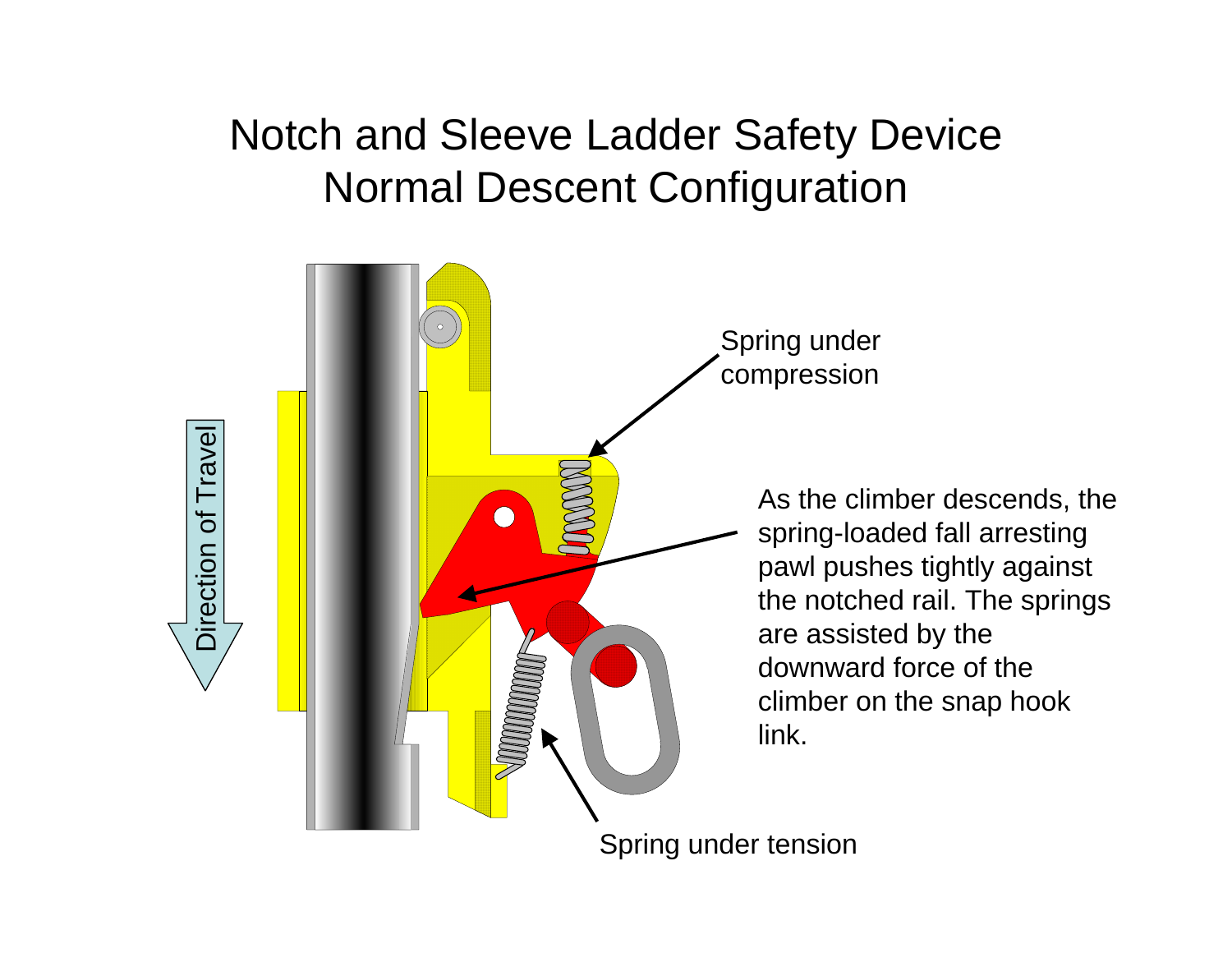### Notch and Sleeve Ladder Safety Device Normal Descent Configuration

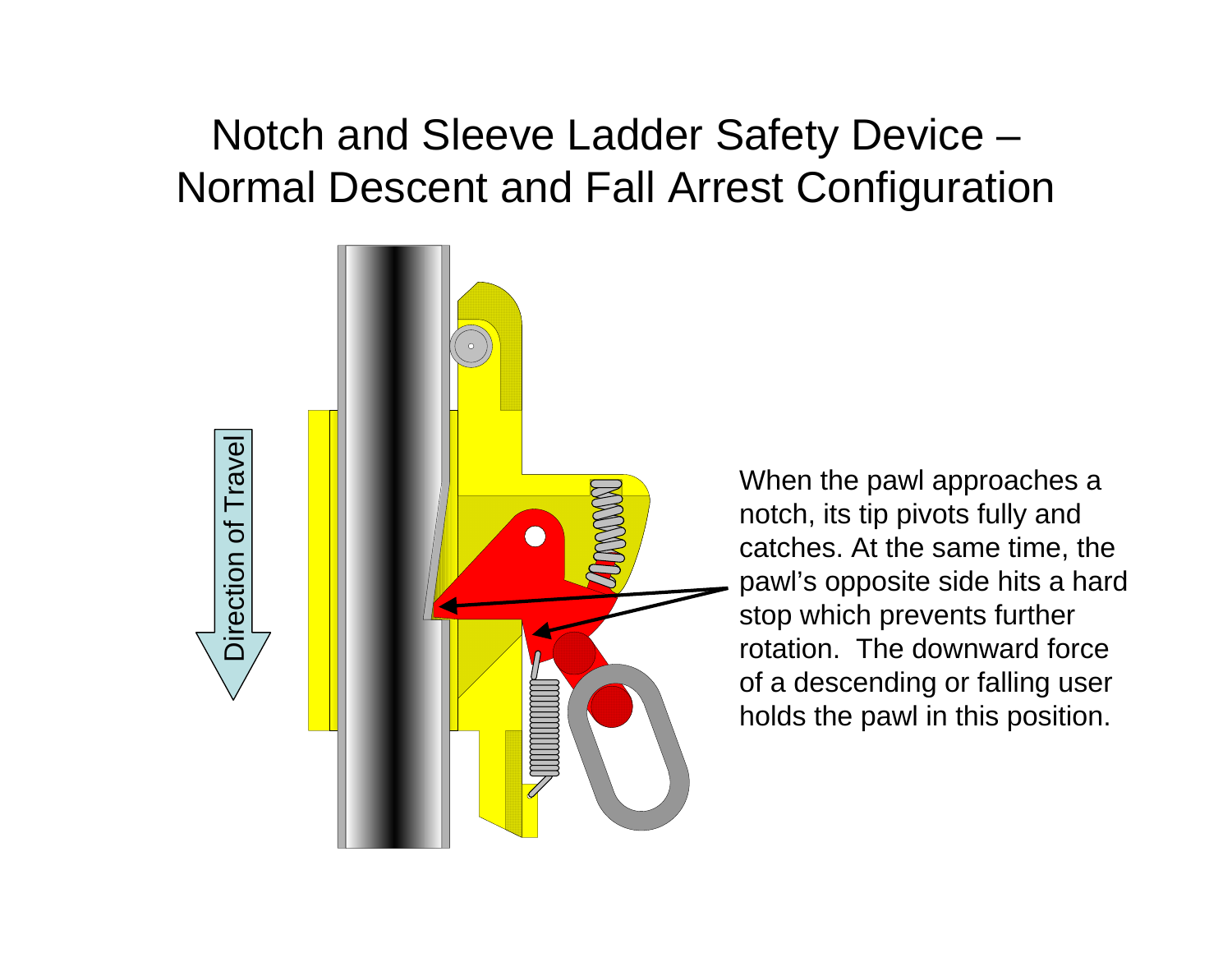### Notch and Sleeve Ladder Safety Device – Normal Descent and Fall Arrest Configuration



When the pawl approaches a notch, its tip pivots fully and catches. At the same time, the pawl's opposite side hits a hard stop which prevents further rotation. The downward force of a descending or falling user holds the pawl in this position.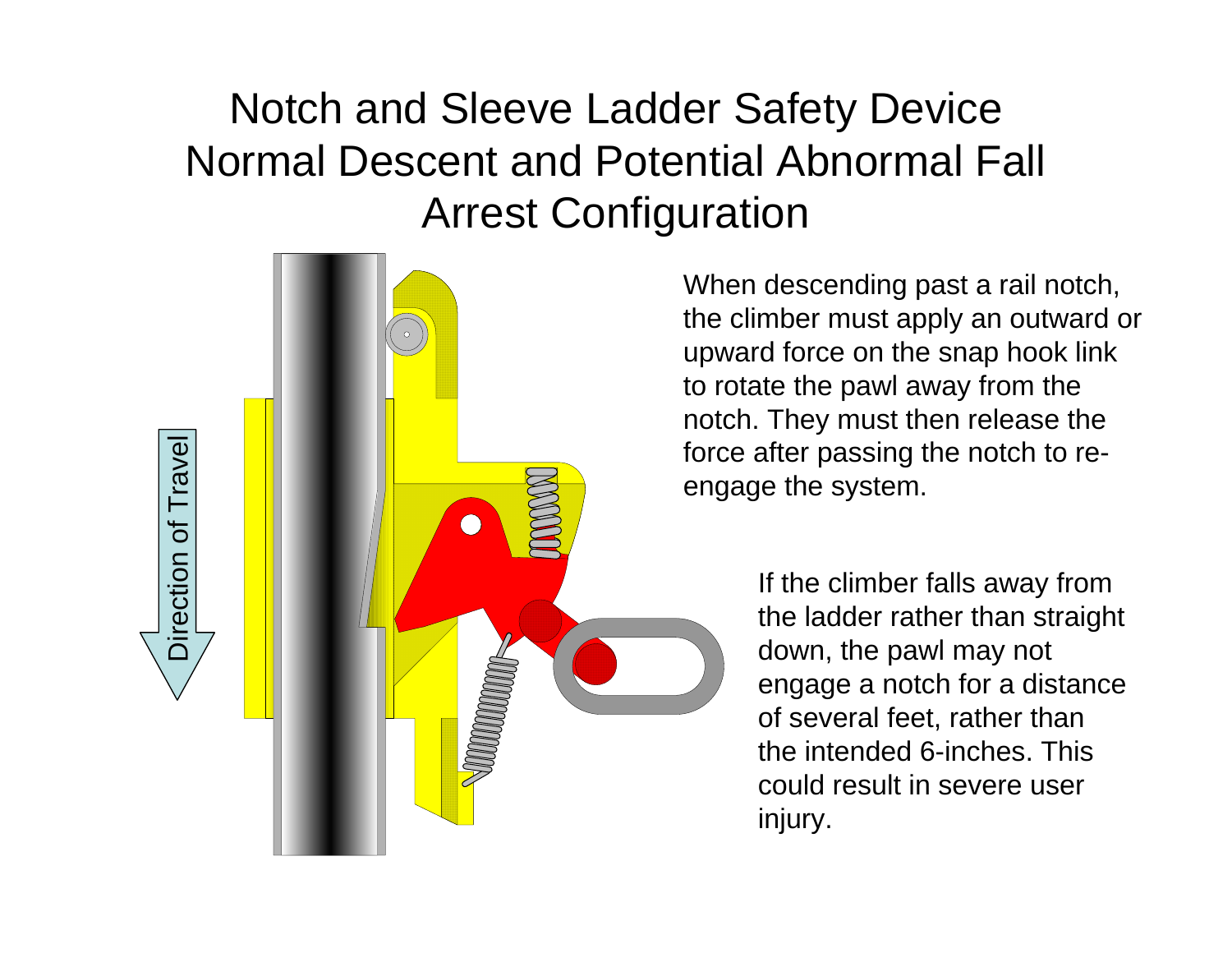### Notch and Sleeve Ladder Safety Device Normal Descent and Potential Abnormal Fall Arrest Configuration



Direction of Travel

Direction of Travel

When descending past a rail notch, the climber must apply an outward or upward force on the snap hook link to rotate the pawl away from the notch. They must then release the force after passing the notch to reengage the system.

> If the climber falls away from the ladder rather than straight down, the pawl may not engage a notch for a distance of several feet, rather than the intended 6-inches. This could result in severe user injury.